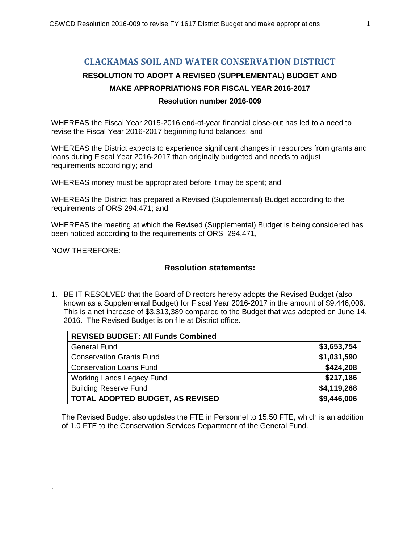### **CLACKAMAS SOIL AND WATER CONSERVATION DISTRICT**

# **RESOLUTION TO ADOPT A REVISED (SUPPLEMENTAL) BUDGET AND MAKE APPROPRIATIONS FOR FISCAL YEAR 2016-2017**

#### **Resolution number 2016-009**

WHEREAS the Fiscal Year 2015-2016 end-of-year financial close-out has led to a need to revise the Fiscal Year 2016-2017 beginning fund balances; and

WHEREAS the District expects to experience significant changes in resources from grants and loans during Fiscal Year 2016-2017 than originally budgeted and needs to adjust requirements accordingly; and

WHEREAS money must be appropriated before it may be spent; and

WHEREAS the District has prepared a Revised (Supplemental) Budget according to the requirements of ORS 294.471; and

WHEREAS the meeting at which the Revised (Supplemental) Budget is being considered has been noticed according to the requirements of ORS 294.471,

NOW THEREFORE:

.

#### **Resolution statements:**

1. BE IT RESOLVED that the Board of Directors hereby adopts the Revised Budget (also known as a Supplemental Budget) for Fiscal Year 2016-2017 in the amount of \$9,446,006. This is a net increase of \$3,313,389 compared to the Budget that was adopted on June 14, 2016. The Revised Budget is on file at District office.

| <b>REVISED BUDGET: All Funds Combined</b> |             |
|-------------------------------------------|-------------|
| <b>General Fund</b>                       | \$3,653,754 |
| <b>Conservation Grants Fund</b>           | \$1,031,590 |
| <b>Conservation Loans Fund</b>            | \$424,208   |
| Working Lands Legacy Fund                 | \$217,186   |
| <b>Building Reserve Fund</b>              | \$4,119,268 |
| TOTAL ADOPTED BUDGET, AS REVISED          | \$9,446,006 |

 The Revised Budget also updates the FTE in Personnel to 15.50 FTE, which is an addition of 1.0 FTE to the Conservation Services Department of the General Fund.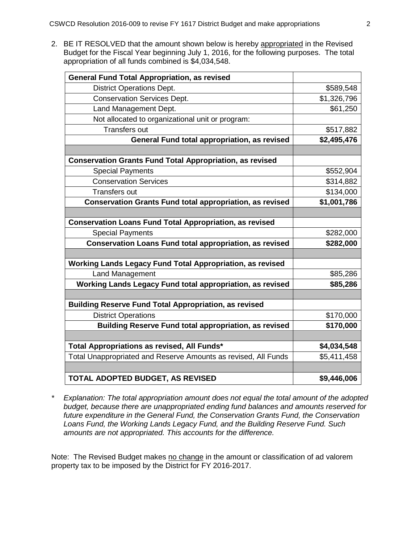2. BE IT RESOLVED that the amount shown below is hereby appropriated in the Revised Budget for the Fiscal Year beginning July 1, 2016, for the following purposes. The total appropriation of all funds combined is \$4,034,548.

| <b>General Fund Total Appropriation, as revised</b>             |             |
|-----------------------------------------------------------------|-------------|
| <b>District Operations Dept.</b>                                | \$589,548   |
| <b>Conservation Services Dept.</b>                              | \$1,326,796 |
| Land Management Dept.                                           | \$61,250    |
| Not allocated to organizational unit or program:                |             |
| <b>Transfers out</b>                                            | \$517,882   |
| General Fund total appropriation, as revised                    | \$2,495,476 |
|                                                                 |             |
| <b>Conservation Grants Fund Total Appropriation, as revised</b> |             |
| <b>Special Payments</b>                                         | \$552,904   |
| <b>Conservation Services</b>                                    | \$314,882   |
| <b>Transfers out</b>                                            | \$134,000   |
| <b>Conservation Grants Fund total appropriation, as revised</b> | \$1,001,786 |
|                                                                 |             |
| <b>Conservation Loans Fund Total Appropriation, as revised</b>  |             |
| <b>Special Payments</b>                                         | \$282,000   |
| <b>Conservation Loans Fund total appropriation, as revised</b>  | \$282,000   |
|                                                                 |             |
| Working Lands Legacy Fund Total Appropriation, as revised       |             |
| Land Management                                                 | \$85,286    |
| Working Lands Legacy Fund total appropriation, as revised       | \$85,286    |
|                                                                 |             |
| <b>Building Reserve Fund Total Appropriation, as revised</b>    |             |
| <b>District Operations</b>                                      | \$170,000   |
| <b>Building Reserve Fund total appropriation, as revised</b>    | \$170,000   |
|                                                                 |             |
| Total Appropriations as revised, All Funds*                     | \$4,034,548 |
| Total Unappropriated and Reserve Amounts as revised, All Funds  | \$5,411,458 |
|                                                                 |             |
| TOTAL ADOPTED BUDGET, AS REVISED                                | \$9,446,006 |

*\* Explanation: The total appropriation amount does not equal the total amount of the adopted budget, because there are unappropriated ending fund balances and amounts reserved for future expenditure in the General Fund, the Conservation Grants Fund, the Conservation Loans Fund, the Working Lands Legacy Fund, and the Building Reserve Fund. Such amounts are not appropriated. This accounts for the difference.*

Note: The Revised Budget makes no change in the amount or classification of ad valorem property tax to be imposed by the District for FY 2016-2017.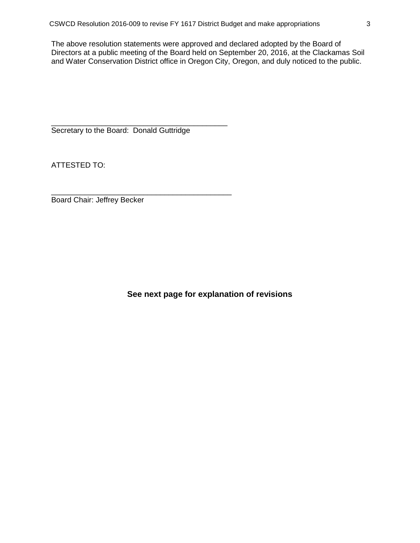The above resolution statements were approved and declared adopted by the Board of Directors at a public meeting of the Board held on September 20, 2016, at the Clackamas Soil and Water Conservation District office in Oregon City, Oregon, and duly noticed to the public.

\_\_\_\_\_\_\_\_\_\_\_\_\_\_\_\_\_\_\_\_\_\_\_\_\_\_\_\_\_\_\_\_\_\_\_\_\_\_\_\_\_\_ Secretary to the Board: Donald Guttridge

ATTESTED TO:

\_\_\_\_\_\_\_\_\_\_\_\_\_\_\_\_\_\_\_\_\_\_\_\_\_\_\_\_\_\_\_\_\_\_\_\_\_\_\_\_\_\_\_ Board Chair: Jeffrey Becker

**See next page for explanation of revisions**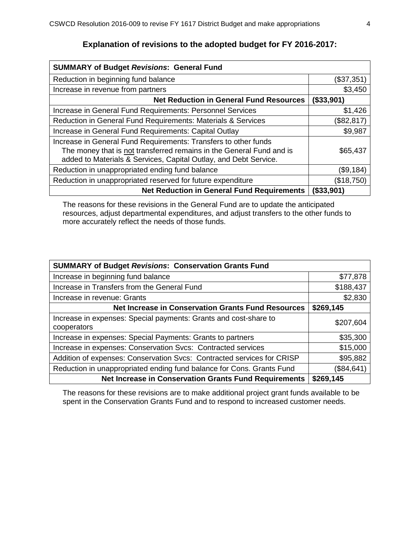| <b>SUMMARY of Budget Revisions: General Fund</b>                                                                                                                                                            |               |  |
|-------------------------------------------------------------------------------------------------------------------------------------------------------------------------------------------------------------|---------------|--|
| Reduction in beginning fund balance                                                                                                                                                                         | (\$37,351)    |  |
| Increase in revenue from partners                                                                                                                                                                           | \$3,450       |  |
| <b>Net Reduction in General Fund Resources</b>                                                                                                                                                              | (\$33,901)    |  |
| Increase in General Fund Requirements: Personnel Services                                                                                                                                                   | \$1,426       |  |
| Reduction in General Fund Requirements: Materials & Services                                                                                                                                                | \$82,817      |  |
| Increase in General Fund Requirements: Capital Outlay                                                                                                                                                       | \$9,987       |  |
| Increase in General Fund Requirements: Transfers to other funds<br>The money that is not transferred remains in the General Fund and is<br>added to Materials & Services, Capital Outlay, and Debt Service. | \$65,437      |  |
| Reduction in unappropriated ending fund balance                                                                                                                                                             | (\$9,184)     |  |
| Reduction in unappropriated reserved for future expenditure                                                                                                                                                 | \$18,750      |  |
| <b>Net Reduction in General Fund Requirements</b>                                                                                                                                                           | $($ \$33,901) |  |

## **Explanation of revisions to the adopted budget for FY 2016-2017:**

The reasons for these revisions in the General Fund are to update the anticipated resources, adjust departmental expenditures, and adjust transfers to the other funds to more accurately reflect the needs of those funds.

| <b>SUMMARY of Budget Revisions: Conservation Grants Fund</b>                    |           |  |
|---------------------------------------------------------------------------------|-----------|--|
| Increase in beginning fund balance                                              | \$77,878  |  |
| Increase in Transfers from the General Fund                                     | \$188,437 |  |
| Increase in revenue: Grants                                                     | \$2,830   |  |
| <b>Net Increase in Conservation Grants Fund Resources</b>                       | \$269,145 |  |
| Increase in expenses: Special payments: Grants and cost-share to<br>cooperators | \$207,604 |  |
| Increase in expenses: Special Payments: Grants to partners                      | \$35,300  |  |
| Increase in expenses: Conservation Svcs: Contracted services                    | \$15,000  |  |
| Addition of expenses: Conservation Svcs: Contracted services for CRISP          | \$95,882  |  |
| Reduction in unappropriated ending fund balance for Cons. Grants Fund           | \$84,641  |  |
| <b>Net Increase in Conservation Grants Fund Requirements</b>                    | \$269,145 |  |

The reasons for these revisions are to make additional project grant funds available to be spent in the Conservation Grants Fund and to respond to increased customer needs.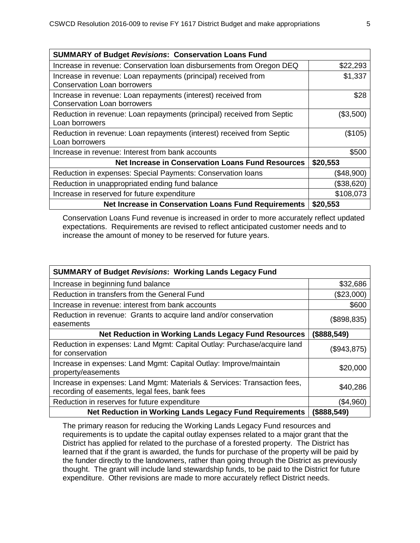| <b>SUMMARY of Budget Revisions: Conservation Loans Fund</b>                                          |            |  |
|------------------------------------------------------------------------------------------------------|------------|--|
| Increase in revenue: Conservation loan disbursements from Oregon DEQ                                 | \$22,293   |  |
| Increase in revenue: Loan repayments (principal) received from<br><b>Conservation Loan borrowers</b> | \$1,337    |  |
| Increase in revenue: Loan repayments (interest) received from<br><b>Conservation Loan borrowers</b>  | \$28       |  |
| Reduction in revenue: Loan repayments (principal) received from Septic<br>Loan borrowers             | (\$3,500)  |  |
| Reduction in revenue: Loan repayments (interest) received from Septic<br>Loan borrowers              | (\$105)    |  |
| Increase in revenue: Interest from bank accounts                                                     | \$500      |  |
| <b>Net Increase in Conservation Loans Fund Resources</b>                                             | \$20,553   |  |
| Reduction in expenses: Special Payments: Conservation Ioans                                          | (\$48,900) |  |
| Reduction in unappropriated ending fund balance                                                      | (\$38,620) |  |
| Increase in reserved for future expenditure                                                          | \$108,073  |  |
| Net Increase in Conservation Loans Fund Requirements                                                 | \$20,553   |  |

Conservation Loans Fund revenue is increased in order to more accurately reflect updated expectations. Requirements are revised to reflect anticipated customer needs and to increase the amount of money to be reserved for future years.

| <b>SUMMARY of Budget Revisions: Working Lands Legacy Fund</b>                                                             |             |  |
|---------------------------------------------------------------------------------------------------------------------------|-------------|--|
| Increase in beginning fund balance                                                                                        | \$32,686    |  |
| Reduction in transfers from the General Fund                                                                              | (\$23,000)  |  |
| Increase in revenue: interest from bank accounts                                                                          | \$600       |  |
| Reduction in revenue: Grants to acquire land and/or conservation<br>easements                                             | (\$898,835) |  |
| <b>Net Reduction in Working Lands Legacy Fund Resources</b>                                                               | (\$888,549) |  |
| Reduction in expenses: Land Mgmt: Capital Outlay: Purchase/acquire land<br>for conservation                               | (\$943,875) |  |
| Increase in expenses: Land Mgmt: Capital Outlay: Improve/maintain<br>property/easements                                   | \$20,000    |  |
| Increase in expenses: Land Mgmt: Materials & Services: Transaction fees,<br>recording of easements, legal fees, bank fees | \$40,286    |  |
| Reduction in reserves for future expenditure                                                                              | (\$4,960)   |  |
| Net Reduction in Working Lands Legacy Fund Requirements                                                                   | (\$888,549) |  |

The primary reason for reducing the Working Lands Legacy Fund resources and requirements is to update the capital outlay expenses related to a major grant that the District has applied for related to the purchase of a forested property. The District has learned that if the grant is awarded, the funds for purchase of the property will be paid by the funder directly to the landowners, rather than going through the District as previously thought. The grant will include land stewardship funds, to be paid to the District for future expenditure. Other revisions are made to more accurately reflect District needs.